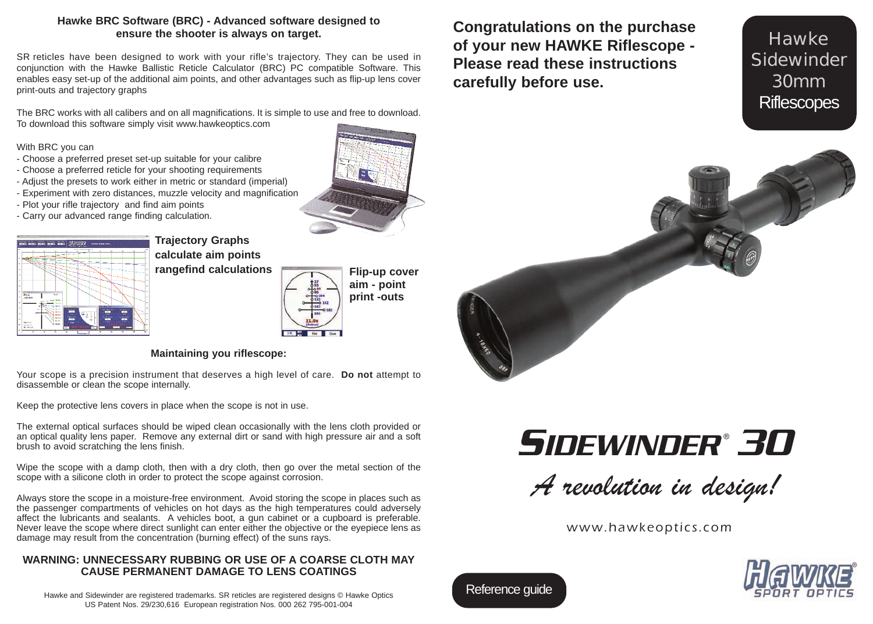#### **Hawke BRC Software (BRC) - Advanced software designed to ensure the shooter is always on target.**

SR reticles have been designed to work with your rifle's trajectory. They can be used in conjunction with the Hawke Ballistic Reticle Calculator (BRC) PC compatible Software. This enables easy set-up of the additional aim points, and other advantages such as flip-up lens cover print-outs and trajectory graphs

The BRC works with all calibers and on all magnifications. It is simple to use and free to download. To download this software simply visit www.hawkeoptics.com

With BRC you can

- Choose a preferred preset set-up suitable for your calibre
- Choose a preferred reticle for your shooting requirements
- Adjust the presets to work either in metric or standard (imperial)
- Experiment with zero distances, muzzle velocity and magnification
- Plot your rifle trajectory and find aim points
- Carry our advanced range finding calculation.



## **Trajectory Graphs calculate aim points rangefind calculations Flip-up cover**



**aim - point print -outs**

#### **Maintaining you riflescope:**

Your scope is a precision instrument that deserves a high level of care. **Do not** attempt to disassemble or clean the scope internally.

Keep the protective lens covers in place when the scope is not in use.

The external optical surfaces should be wiped clean occasionally with the lens cloth provided or an optical quality lens paper. Remove any external dirt or sand with high pressure air and a soft brush to avoid scratching the lens finish.

Wipe the scope with a damp cloth, then with a dry cloth, then go over the metal section of the scope with a silicone cloth in order to protect the scope against corrosion.

Always store the scope in a moisture-free environment. Avoid storing the scope in places such as the passenger compartments of vehicles on hot days as the high temperatures could adversely affect the lubricants and sealants. A vehicles boot, a gun cabinet or a cupboard is preferable. Never leave the scope where direct sunlight can enter either the objective or the eyepiece lens as damage may result from the concentration (burning effect) of the suns rays.

#### **WARNING: UNNECESSARY RUBBING OR USE OF A COARSE CLOTH MAY CAUSE PERMANENT DAMAGE TO LENS COATINGS**

Hawke and Sidewinder are registered trademarks. SR reticles are registered designs © Hawke Optics US Patent Nos. 29/230,616 European registration Nos. 000 262 795-001-004

**Congratulations on the purchase of your new HAWKE Riflescope - Please read these instructions carefully before use.**

**Hawke Sidewinder** 30mm **Riflescopes** 



*SIDEWINDER 30* ®

A revolution in design!

www.hawkeoptics.com



Reference guide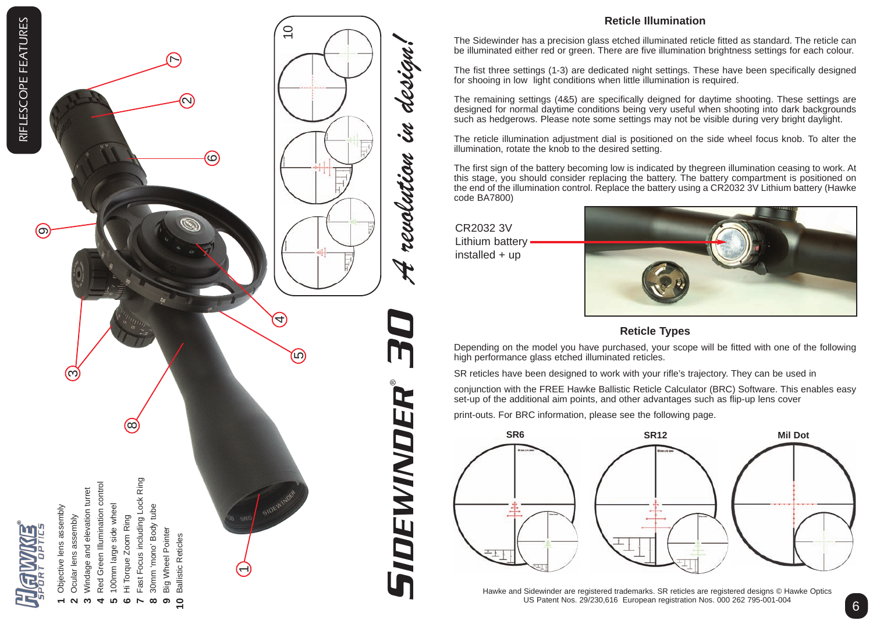

Objective lens assembly Objective lens assembly

**1**

Ocular lens assembly Ocular lens assembly  $\boldsymbol{\sim}$ 

ణ

- Windage and elevation turret Windage and elevation turret **m**
- Red Green Illumination control Red Green Illumination control **4**
	- 100mm large side wheel 100mm large side wheel **5**
		-
		- Hi Torque Zoom Ring Hi Torque Zoom Ring **6**

 $\circ$ 

- Fast Focus including Lock Ring Fast Focus including Lock Ring **7**
	- 30mm 'mono' Body tube 30mm 'mono' Body tube Big Wheel Pointer **8**
		- Big Wheel Pointer **Ballistic Reticles** Ballistic Reticles **10 9**

ର

**R** 

6



4,

 $\overline{10}$ 

(ယ)



### **Reticle Illumination**

The Sidewinder has a precision glass etched illuminated reticle fitted as standard. The reticle can be illuminated either red or green. There are five illumination brightness settings for each colour.

The fist three settings (1-3) are dedicated night settings. These have been specifically designed for shooing in low light conditions when little illumination is required.

The remaining settings (4&5) are specifically deigned for daytime shooting. These settings are designed for normal daytime conditions being very useful when shooting into dark backgrounds such as hedgerows. Please note some settings may not be visible during very bright daylight.

The reticle illumination adjustment dial is positioned on the side wheel focus knob. To alter the illumination, rotate the knob to the desired setting.

The first sign of the battery becoming low is indicated by thegreen illumination ceasing to work. At this stage, you should consider replacing the battery. The battery compartment is positioned on the end of the illumination control. Replace the battery using a CR2032 3V Lithium battery (Hawke code BA7800)

CR2032 3V Lithium battery installed + up



## **Reticle Types**

Depending on the model you have purchased, your scope will be fitted with one of the following high performance glass etched illuminated reticles.

SR reticles have been designed to work with your rifle's trajectory. They can be used in

conjunction with the FREE Hawke Ballistic Reticle Calculator (BRC) Software. This enables easy set-up of the additional aim points, and other advantages such as flip-up lens cover

print-outs. For BRC information, please see the following page.



Hawke and Sidewinder are registered trademarks. SR reticles are registered designs © Hawke Optics US Patent Nos. 29/230,616 European registration Nos. 000 262 795-001-004

ග;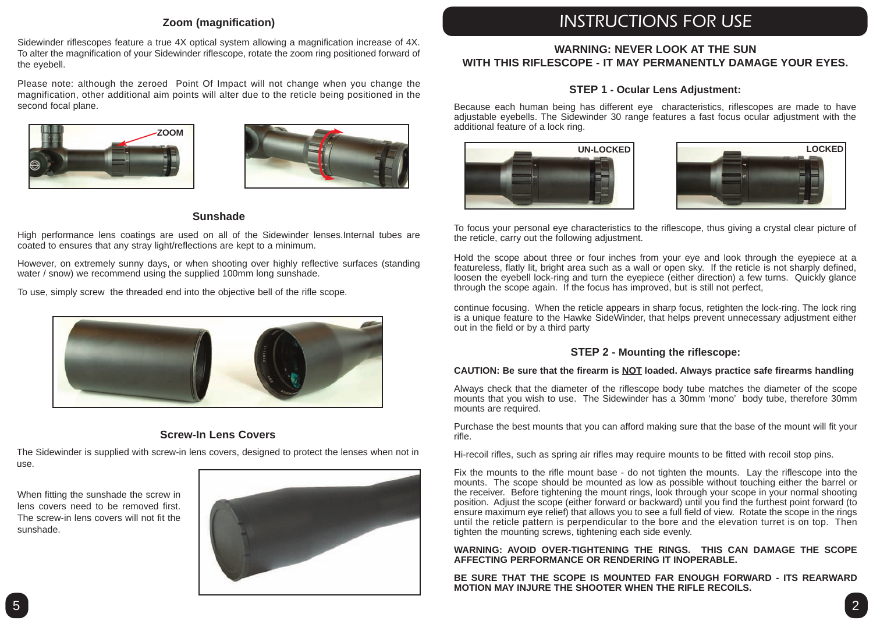#### **Zoom (magnification)**

Sidewinder riflescopes feature a true 4X optical system allowing a magnification increase of 4X. To alter the magnification of your Sidewinder riflescope, rotate the zoom ring positioned forward of the eyebell.

Please note: although the zeroed Point Of Impact will not change when you change the magnification, other additional aim points will alter due to the reticle being positioned in the second focal plane.





#### **Sunshade**

High performance lens coatings are used on all of the Sidewinder lenses.Internal tubes are coated to ensures that any stray light/reflections are kept to a minimum.

However, on extremely sunny days, or when shooting over highly reflective surfaces (standing water / snow) we recommend using the supplied 100mm long sunshade.

To use, simply screw the threaded end into the objective bell of the rifle scope.



#### **Screw-In Lens Covers**

The Sidewinder is supplied with screw-in lens covers, designed to protect the lenses when not in use.

When fitting the sunshade the screw in lens covers need to be removed first. The screw-in lens covers will not fit the sunshade.



# INSTRUCTIONS FOR USE

#### **WARNING: NEVER LOOK AT THE SUN WITH THIS RIFLESCOPE - IT MAY PERMANENTLY DAMAGE YOUR EYES.**

#### **STEP 1 - Ocular Lens Adjustment:**

Because each human being has different eye characteristics, riflescopes are made to have adjustable eyebells. The Sidewinder 30 range features a fast focus ocular adjustment with the additional feature of a lock ring.





To focus your personal eye characteristics to the riflescope, thus giving a crystal clear picture of the reticle, carry out the following adjustment.

Hold the scope about three or four inches from your eye and look through the eyepiece at a featureless, flatly lit, bright area such as a wall or open sky. If the reticle is not sharply defined, loosen the eyebell lock-ring and turn the eyepiece (either direction) a few turns. Quickly glance through the scope again. If the focus has improved, but is still not perfect,

continue focusing. When the reticle appears in sharp focus, retighten the lock-ring. The lock ring is a unique feature to the Hawke SideWinder, that helps prevent unnecessary adjustment either out in the field or by a third party

#### **STEP 2 - Mounting the riflescope:**

#### **CAUTION: Be sure that the firearm is NOT loaded. Always practice safe firearms handling**

Always check that the diameter of the riflescope body tube matches the diameter of the scope mounts that you wish to use. The Sidewinder has a 30mm 'mono' body tube, therefore 30mm mounts are required.

Purchase the best mounts that you can afford making sure that the base of the mount will fit your rifle.

Hi-recoil rifles, such as spring air rifles may require mounts to be fitted with recoil stop pins.

Fix the mounts to the rifle mount base - do not tighten the mounts. Lay the riflescope into the mounts. The scope should be mounted as low as possible without touching either the barrel or the receiver. Before tightening the mount rings, look through your scope in your normal shooting position. Adjust the scope (either forward or backward) until you find the furthest point forward (to ensure maximum eye relief) that allows you to see a full field of view. Rotate the scope in the rings until the reticle pattern is perpendicular to the bore and the elevation turret is on top. Then tighten the mounting screws, tightening each side evenly.

**WARNING: AVOID OVER-TIGHTENING THE RINGS. THIS CAN DAMAGE THE SCOPE AFFECTING PERFORMANCE OR RENDERING IT INOPERABLE.**

**BE SURE THAT THE SCOPE IS MOUNTED FAR ENOUGH FORWARD - ITS REARWARD MOTION MAY INJURE THE SHOOTER WHEN THE RIFLE RECOILS.**